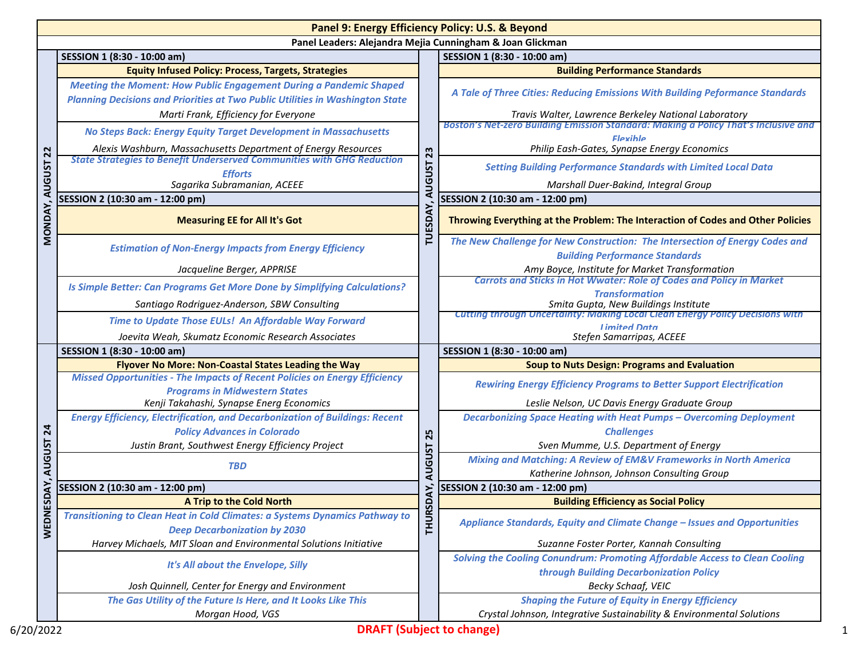| Panel 9: Energy Efficiency Policy: U.S. & Beyond |                                                                                                                                                                   |                                 |                                                                                                       |  |  |
|--------------------------------------------------|-------------------------------------------------------------------------------------------------------------------------------------------------------------------|---------------------------------|-------------------------------------------------------------------------------------------------------|--|--|
|                                                  | Panel Leaders: Alejandra Mejia Cunningham & Joan Glickman                                                                                                         |                                 |                                                                                                       |  |  |
|                                                  | SESSION 1 (8:30 - 10:00 am)                                                                                                                                       |                                 | SESSION 1 (8:30 - 10:00 am)                                                                           |  |  |
|                                                  | <b>Equity Infused Policy: Process, Targets, Strategies</b>                                                                                                        |                                 | <b>Building Performance Standards</b>                                                                 |  |  |
|                                                  | <b>Meeting the Moment: How Public Engagement During a Pandemic Shaped</b><br><b>Planning Decisions and Priorities at Two Public Utilities in Washington State</b> | 23<br><b>AUGUST</b><br>TUESDAY, | A Tale of Three Cities: Reducing Emissions With Building Peformance Standards                         |  |  |
|                                                  | Marti Frank, Efficiency for Everyone                                                                                                                              |                                 | Travis Walter, Lawrence Berkeley National Laboratory                                                  |  |  |
|                                                  | No Steps Back: Energy Equity Target Development in Massachusetts                                                                                                  |                                 | Boston's Net-zero Building Emission Standard: Making a Policy That's Inclusive and<br><b>Flexible</b> |  |  |
| 22                                               | Alexis Washburn, Massachusetts Department of Energy Resources                                                                                                     |                                 | Philip Eash-Gates, Synapse Energy Economics                                                           |  |  |
|                                                  | <b>State Strategies to Benefit Underserved Communities with GHG Reduction</b>                                                                                     |                                 | <b>Setting Building Performance Standards with Limited Local Data</b>                                 |  |  |
| <b>AUGUST</b>                                    | <b>Efforts</b><br>Sagarika Subramanian, ACEEE                                                                                                                     |                                 | Marshall Duer-Bakind, Integral Group                                                                  |  |  |
|                                                  | SESSION 2 (10:30 am - 12:00 pm)                                                                                                                                   |                                 | SESSION 2 (10:30 am - 12:00 pm)                                                                       |  |  |
|                                                  |                                                                                                                                                                   |                                 |                                                                                                       |  |  |
| MONDAY,                                          | <b>Measuring EE for All It's Got</b>                                                                                                                              |                                 | Throwing Everything at the Problem: The Interaction of Codes and Other Policies                       |  |  |
|                                                  | <b>Estimation of Non-Energy Impacts from Energy Efficiency</b>                                                                                                    |                                 | The New Challenge for New Construction: The Intersection of Energy Codes and                          |  |  |
|                                                  |                                                                                                                                                                   |                                 | <b>Building Performance Standards</b>                                                                 |  |  |
|                                                  | Jacqueline Berger, APPRISE                                                                                                                                        |                                 | Amy Boyce, Institute for Market Transformation                                                        |  |  |
|                                                  | Is Simple Better: Can Programs Get More Done by Simplifying Calculations?                                                                                         |                                 | <b>Carrots and Sticks in Hot Wwater: Role of Codes and Policy in Market</b>                           |  |  |
|                                                  | Santiago Rodriguez-Anderson, SBW Consulting                                                                                                                       |                                 | <b>Transformation</b><br>Smita Gupta, New Buildings Institute                                         |  |  |
|                                                  |                                                                                                                                                                   |                                 | <b>Cutting through Uncertainty: Making Local Clean Energy Policy Decisions with</b>                   |  |  |
|                                                  | Time to Update Those EULs! An Affordable Way Forward                                                                                                              |                                 | <b>Limited Data</b>                                                                                   |  |  |
|                                                  | Joevita Weah, Skumatz Economic Research Associates                                                                                                                |                                 | Stefen Samarripas, ACEEE                                                                              |  |  |
|                                                  | SESSION 1 (8:30 - 10:00 am)                                                                                                                                       |                                 | SESSION 1 (8:30 - 10:00 am)                                                                           |  |  |
|                                                  | Flyover No More: Non-Coastal States Leading the Way<br><b>Missed Opportunities - The Impacts of Recent Policies on Energy Efficiency</b>                          | 25                              | <b>Soup to Nuts Design: Programs and Evaluation</b>                                                   |  |  |
|                                                  | <b>Programs in Midwestern States</b>                                                                                                                              |                                 | <b>Rewiring Energy Efficiency Programs to Better Support Electrification</b>                          |  |  |
|                                                  | Kenji Takahashi, Synapse Energ Economics                                                                                                                          |                                 | Leslie Nelson, UC Davis Energy Graduate Group                                                         |  |  |
|                                                  | <b>Energy Efficiency, Electrification, and Decarbonization of Buildings: Recent</b>                                                                               |                                 | <b>Decarbonizing Space Heating with Heat Pumps - Overcoming Deployment</b>                            |  |  |
| 24                                               | <b>Policy Advances in Colorado</b>                                                                                                                                |                                 | <b>Challenges</b>                                                                                     |  |  |
|                                                  | Justin Brant, Southwest Energy Efficiency Project                                                                                                                 |                                 | Sven Mumme, U.S. Department of Energy                                                                 |  |  |
| <b>AUGUST</b>                                    |                                                                                                                                                                   | <b>AUGUST</b>                   | <b>Mixing and Matching: A Review of EM&amp;V Frameworks in North America</b>                          |  |  |
|                                                  | <b>TBD</b>                                                                                                                                                        |                                 | Katherine Johnson, Johnson Consulting Group                                                           |  |  |
| SDAY,                                            | SESSION 2 (10:30 am - 12:00 pm)                                                                                                                                   |                                 | SESSION 2 (10:30 am - 12:00 pm)                                                                       |  |  |
|                                                  | A Trip to the Cold North                                                                                                                                          | DAY,                            | <b>Building Efficiency as Social Policy</b>                                                           |  |  |
| WEDNE                                            | Transitioning to Clean Heat in Cold Climates: a Systems Dynamics Pathway to                                                                                       | <b>THURS</b>                    | Appliance Standards, Equity and Climate Change - Issues and Opportunities                             |  |  |
|                                                  | <b>Deep Decarbonization by 2030</b>                                                                                                                               |                                 |                                                                                                       |  |  |
|                                                  | Harvey Michaels, MIT Sloan and Environmental Solutions Initiative                                                                                                 |                                 | Suzanne Foster Porter, Kannah Consulting                                                              |  |  |
|                                                  | It's All about the Envelope, Silly                                                                                                                                |                                 | Solving the Cooling Conundrum: Promoting Affordable Access to Clean Cooling                           |  |  |
|                                                  |                                                                                                                                                                   |                                 | through Building Decarbonization Policy                                                               |  |  |
|                                                  | Josh Quinnell, Center for Energy and Environment                                                                                                                  |                                 | Becky Schaaf, VEIC                                                                                    |  |  |
|                                                  | The Gas Utility of the Future Is Here, and It Looks Like This                                                                                                     |                                 | <b>Shaping the Future of Equity in Energy Efficiency</b>                                              |  |  |
|                                                  | Morgan Hood, VGS                                                                                                                                                  |                                 | Crystal Johnson, Integrative Sustainability & Environmental Solutions                                 |  |  |